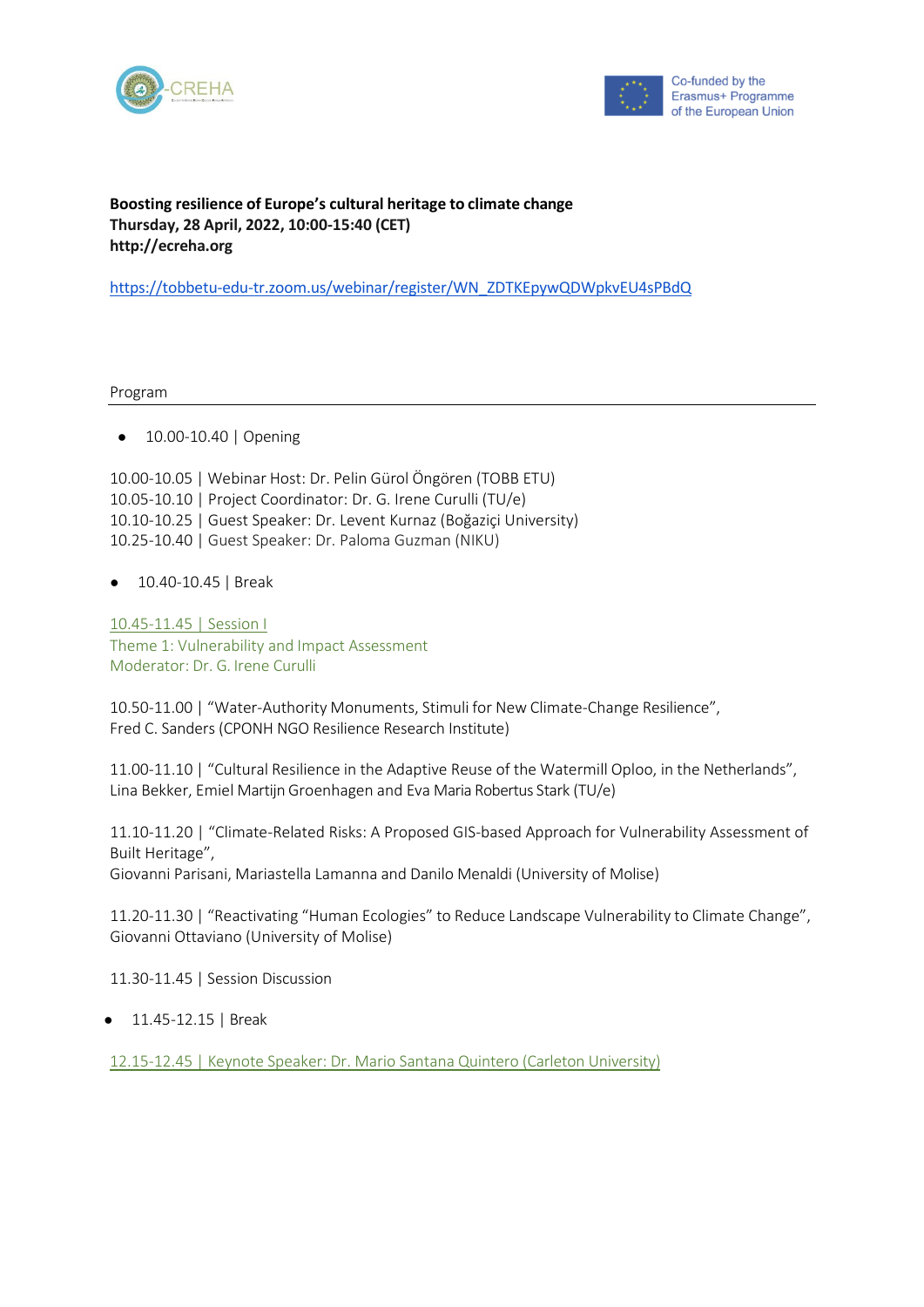



## **Boosting resilience of Europe's cultural heritage to climate change Thursday, 28 April, 2022, 10:00-15:40 (CET) [http://ecreha.org](http://ecreha.org/)**

[https://tobbetu-edu-tr.zoom.us/webinar/register/WN\\_ZDTKEpywQDWpkvEU4sPBdQ](https://tobbetu-edu-tr.zoom.us/webinar/register/WN_ZDTKEpywQDWpkvEU4sPBdQ)

Program

● 10.00-10.40 | Opening

10.00-10.05 | Webinar Host: Dr. Pelin Gürol Öngören (TOBB ETU) 10.05-10.10 | Project Coordinator: Dr. G. Irene Curulli (TU/e) 10.10-10.25 | Guest Speaker: Dr. Levent Kurnaz (Boğaziçi University) 10.25-10.40 | Guest Speaker: Dr. Paloma Guzman (NIKU)

● 10.40-10.45 | Break

10.45-11.45 | Session I Theme 1: Vulnerability and Impact Assessment Moderator: Dr. G. Irene Curulli

10.50-11.00 | "Water-Authority Monuments, Stimuli for New Climate-Change Resilience", Fred C. Sanders (CPONH NGO Resilience Research Institute)

11.00-11.10 | "Cultural Resilience in the Adaptive Reuse of the Watermill Oploo, in the Netherlands", Lina Bekker, Emiel Martijn Groenhagen and Eva Maria Robertus Stark (TU/e)

11.10-11.20 | "Climate-Related Risks: A Proposed GIS-based Approach for Vulnerability Assessment of Built Heritage",

Giovanni Parisani, Mariastella Lamanna and Danilo Menaldi (University of Molise)

11.20-11.30 | "Reactivating "Human Ecologies" to Reduce Landscape Vulnerability to Climate Change", Giovanni Ottaviano (University of Molise)

11.30-11.45 | Session Discussion

● 11.45-12.15 | Break

12.15-12.45 | Keynote Speaker: Dr. Mario Santana Quintero (Carleton University)